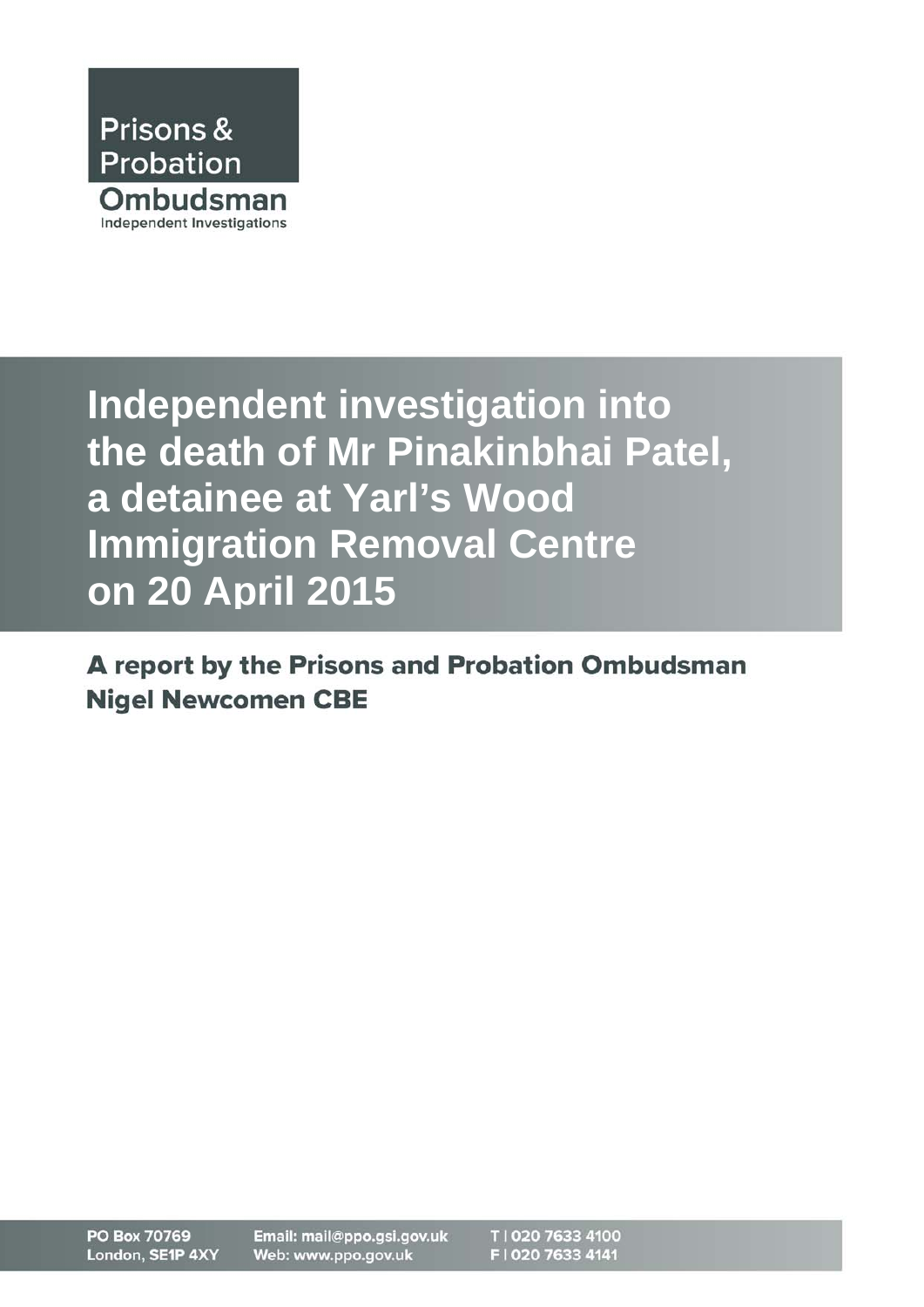

**Independent investigation into the death of Mr Pinakinbhai Patel, a detainee at Yarl's Wood Immigration Removal Centre on 20 April 2015**

A report by the Prisons and Probation Ombudsman **Nigel Newcomen CBE**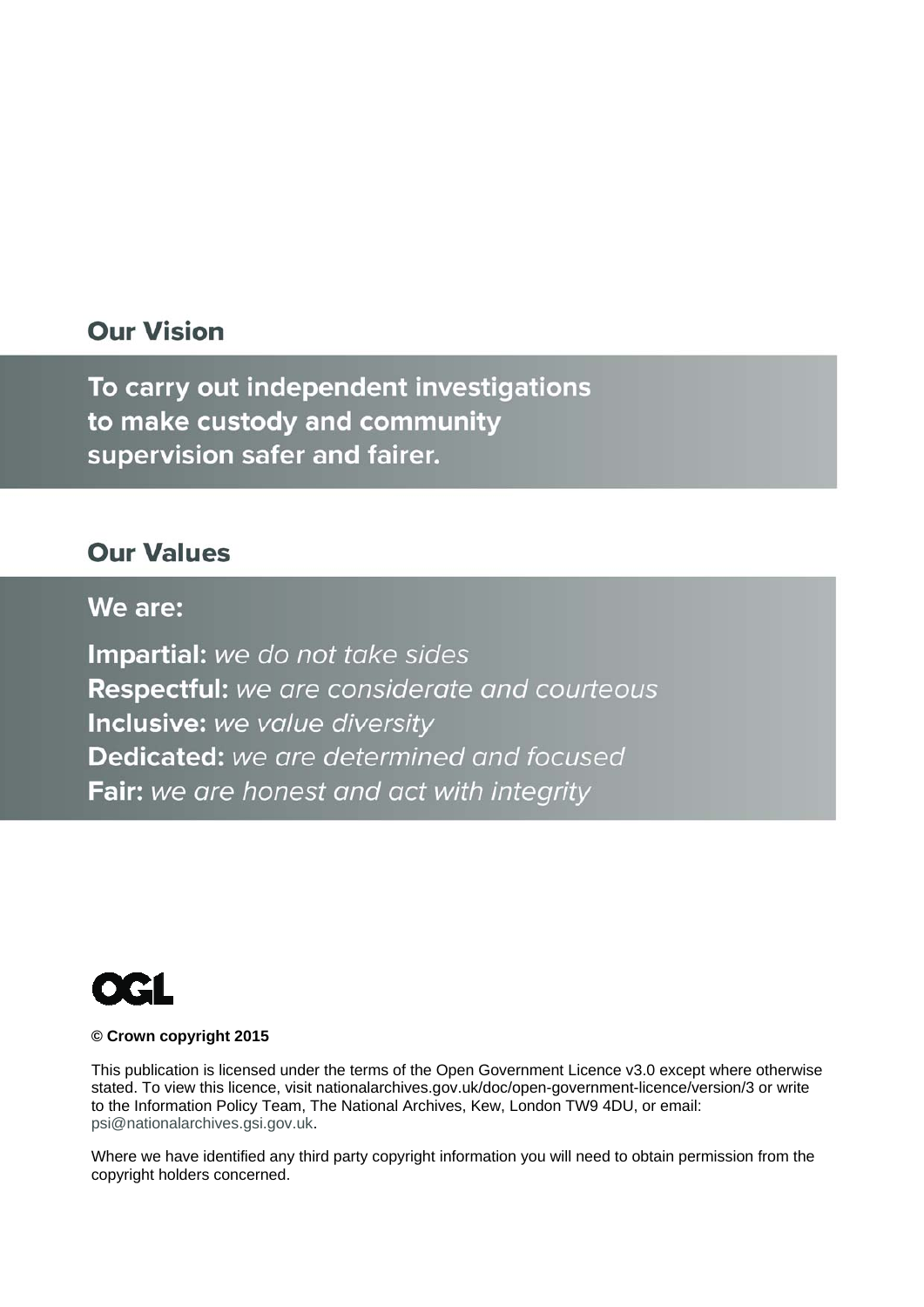## **Our Vision**

To carry out independent investigations to make custody and community supervision safer and fairer.

## **Our Values**

### We are:

**Impartial:** we do not take sides Respectful: we are considerate and courteous Inclusive: we value diversity **Dedicated:** we are determined and focused **Fair:** we are honest and act with integrity



#### **© Crown copyright 2015**

This publication is licensed under the terms of the Open Government Licence v3.0 except where otherwise stated. To view this licence, visit nationalarchives.gov.uk/doc/open-government-licence/version/3 or write to the Information Policy Team, The National Archives, Kew, London TW9 4DU, or email: psi@nationalarchives.gsi.gov.uk.

Where we have identified any third party copyright information you will need to obtain permission from the copyright holders concerned.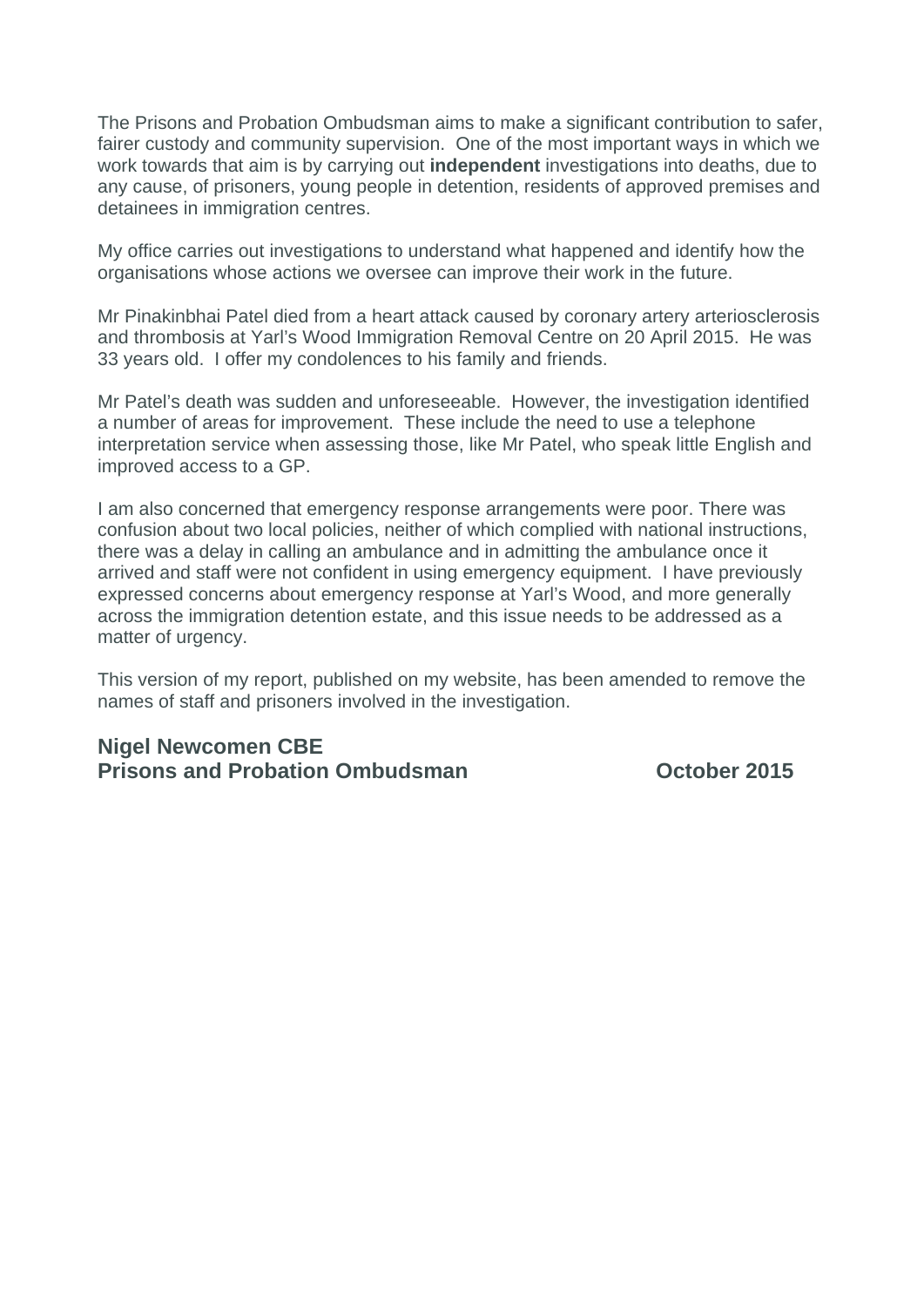The Prisons and Probation Ombudsman aims to make a significant contribution to safer, fairer custody and community supervision. One of the most important ways in which we work towards that aim is by carrying out **independent** investigations into deaths, due to any cause, of prisoners, young people in detention, residents of approved premises and detainees in immigration centres.

My office carries out investigations to understand what happened and identify how the organisations whose actions we oversee can improve their work in the future.

Mr Pinakinbhai Patel died from a heart attack caused by coronary artery arteriosclerosis and thrombosis at Yarl's Wood Immigration Removal Centre on 20 April 2015. He was 33 years old. I offer my condolences to his family and friends.

Mr Patel's death was sudden and unforeseeable. However, the investigation identified a number of areas for improvement. These include the need to use a telephone interpretation service when assessing those, like Mr Patel, who speak little English and improved access to a GP.

I am also concerned that emergency response arrangements were poor. There was confusion about two local policies, neither of which complied with national instructions, there was a delay in calling an ambulance and in admitting the ambulance once it arrived and staff were not confident in using emergency equipment. I have previously expressed concerns about emergency response at Yarl's Wood, and more generally across the immigration detention estate, and this issue needs to be addressed as a matter of urgency.

This version of my report, published on my website, has been amended to remove the names of staff and prisoners involved in the investigation.

#### **Nigel Newcomen CBE Prisons and Probation Ombudsman Construction Construction October 2015**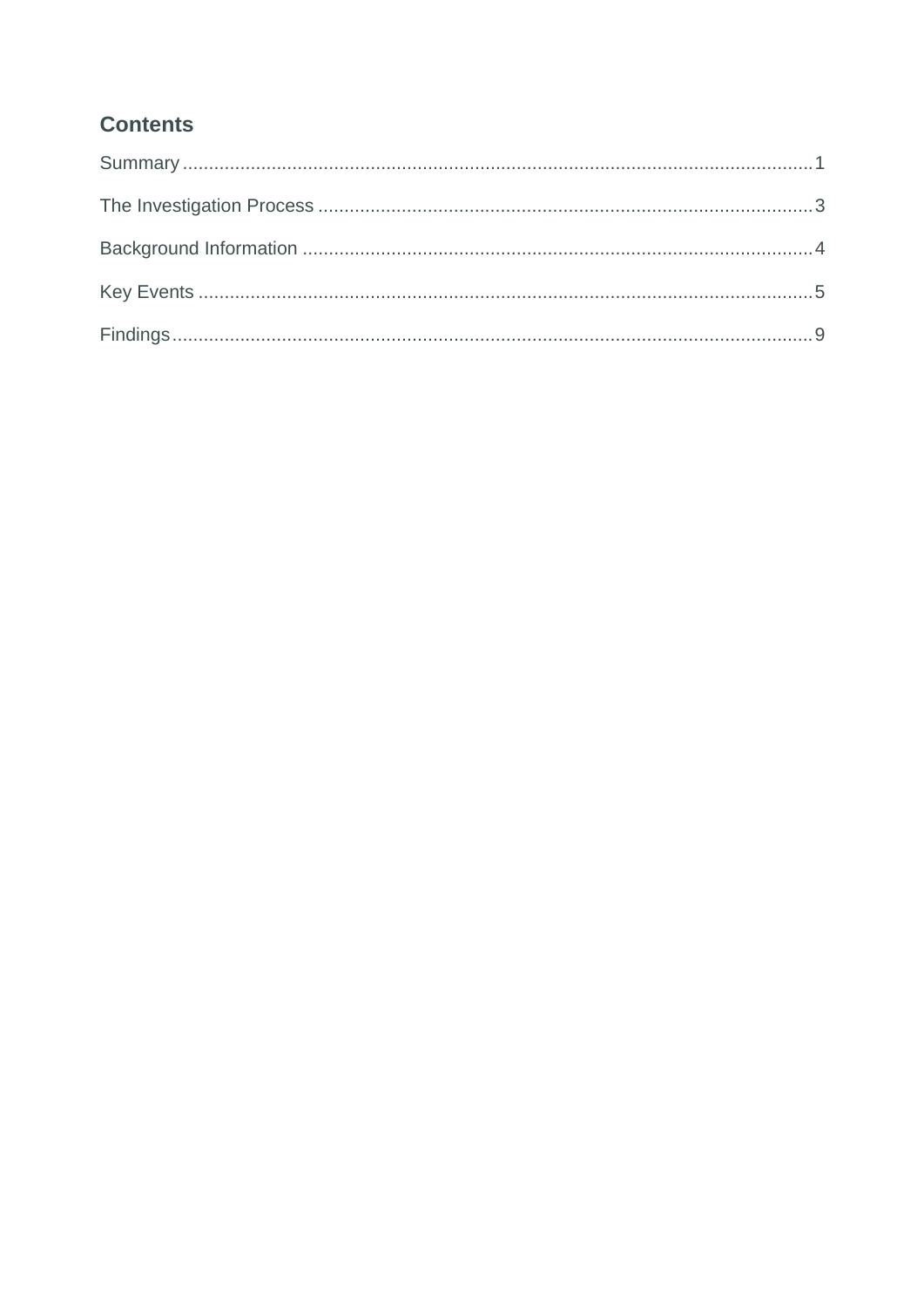## **Contents**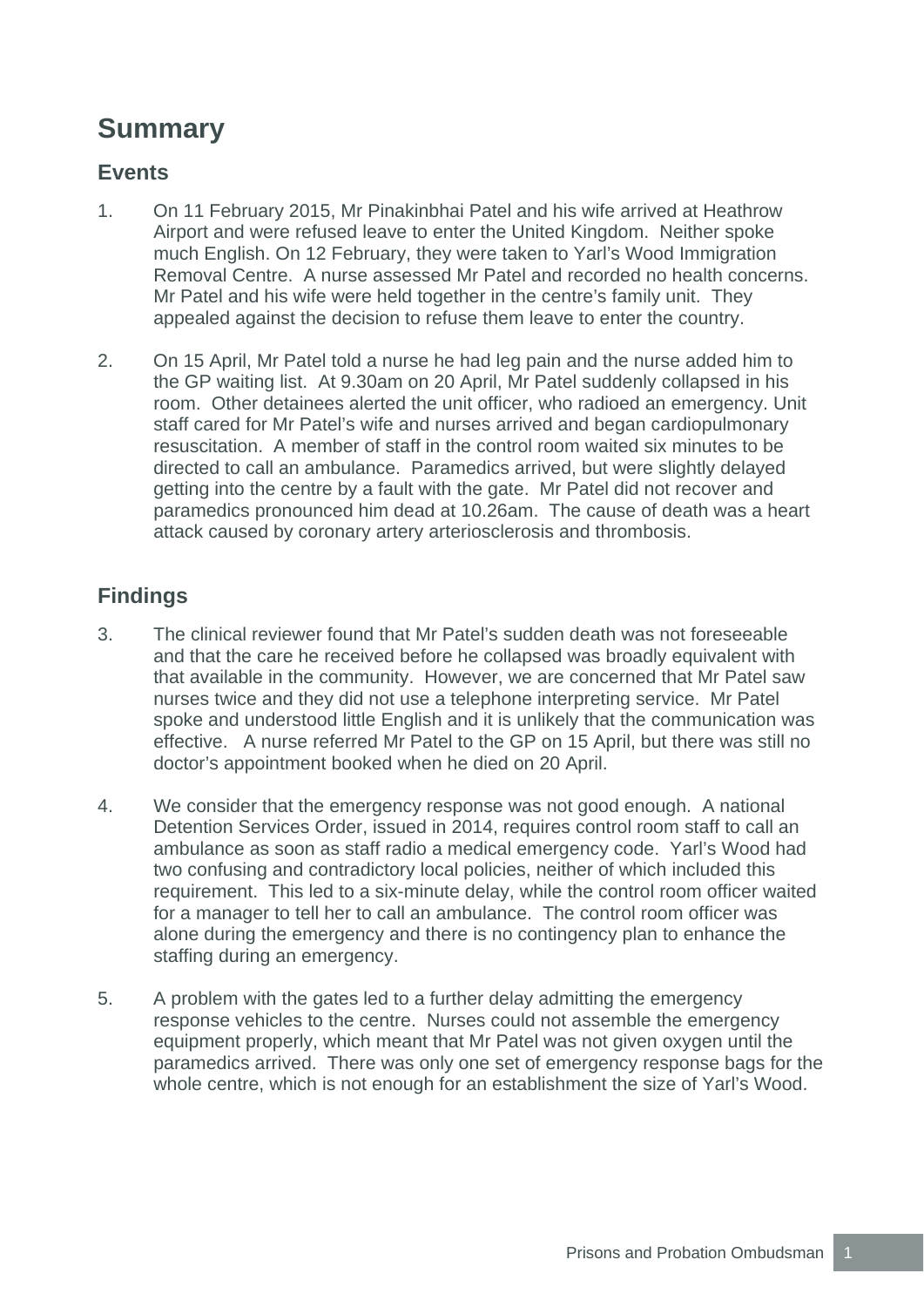## **Summary**

### **Events**

- 1. On 11 February 2015, Mr Pinakinbhai Patel and his wife arrived at Heathrow Airport and were refused leave to enter the United Kingdom. Neither spoke much English. On 12 February, they were taken to Yarl's Wood Immigration Removal Centre. A nurse assessed Mr Patel and recorded no health concerns. Mr Patel and his wife were held together in the centre's family unit. They appealed against the decision to refuse them leave to enter the country.
- 2. On 15 April, Mr Patel told a nurse he had leg pain and the nurse added him to the GP waiting list. At 9.30am on 20 April, Mr Patel suddenly collapsed in his room. Other detainees alerted the unit officer, who radioed an emergency. Unit staff cared for Mr Patel's wife and nurses arrived and began cardiopulmonary resuscitation. A member of staff in the control room waited six minutes to be directed to call an ambulance. Paramedics arrived, but were slightly delayed getting into the centre by a fault with the gate. Mr Patel did not recover and paramedics pronounced him dead at 10.26am. The cause of death was a heart attack caused by coronary artery arteriosclerosis and thrombosis.

## **Findings**

- 3. The clinical reviewer found that Mr Patel's sudden death was not foreseeable and that the care he received before he collapsed was broadly equivalent with that available in the community. However, we are concerned that Mr Patel saw nurses twice and they did not use a telephone interpreting service. Mr Patel spoke and understood little English and it is unlikely that the communication was effective. A nurse referred Mr Patel to the GP on 15 April, but there was still no doctor's appointment booked when he died on 20 April.
- 4. We consider that the emergency response was not good enough. A national Detention Services Order, issued in 2014, requires control room staff to call an ambulance as soon as staff radio a medical emergency code. Yarl's Wood had two confusing and contradictory local policies, neither of which included this requirement. This led to a six-minute delay, while the control room officer waited for a manager to tell her to call an ambulance. The control room officer was alone during the emergency and there is no contingency plan to enhance the staffing during an emergency.
- 5. A problem with the gates led to a further delay admitting the emergency response vehicles to the centre. Nurses could not assemble the emergency equipment properly, which meant that Mr Patel was not given oxygen until the paramedics arrived. There was only one set of emergency response bags for the whole centre, which is not enough for an establishment the size of Yarl's Wood.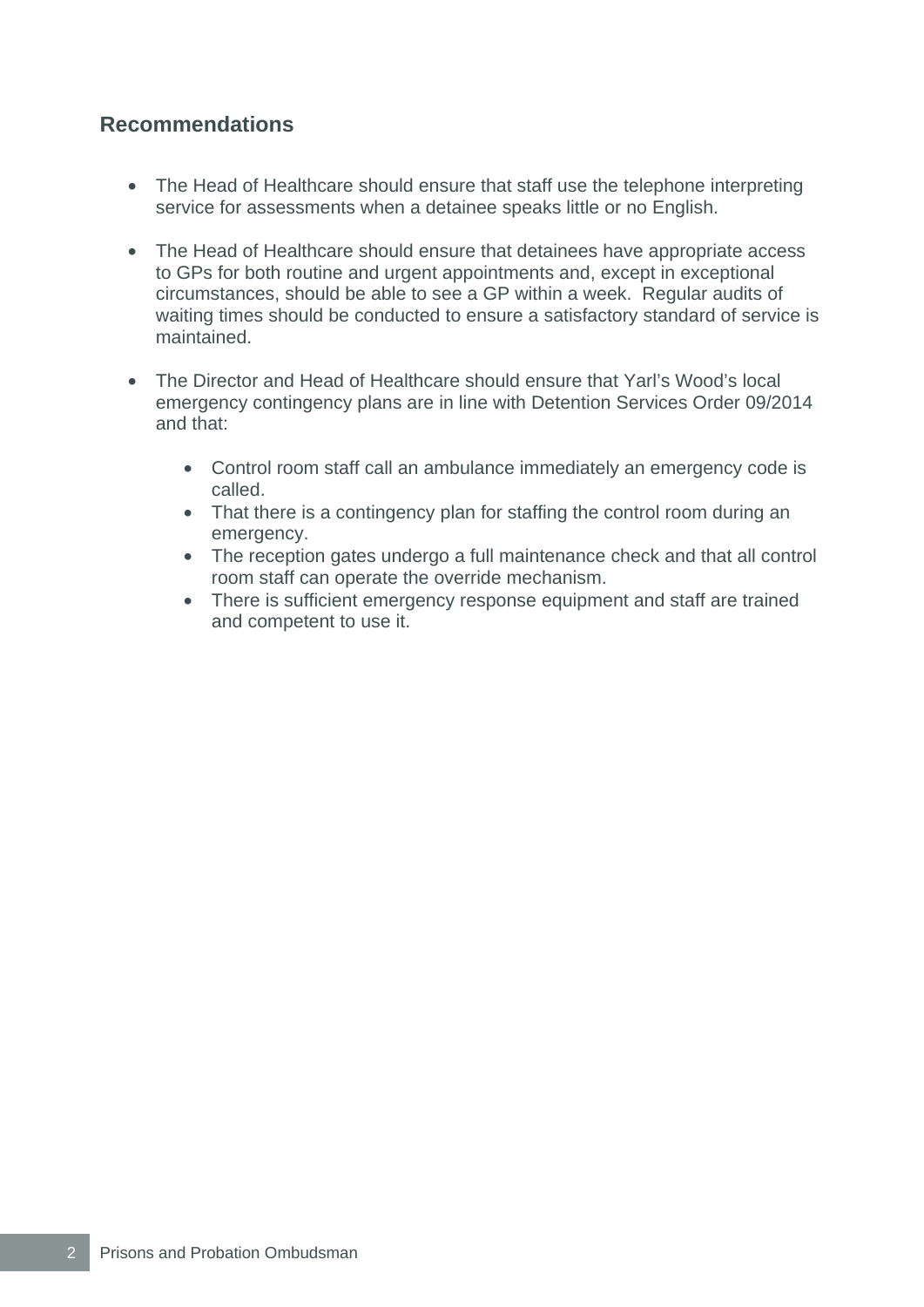### **Recommendations**

- The Head of Healthcare should ensure that staff use the telephone interpreting service for assessments when a detainee speaks little or no English.
- The Head of Healthcare should ensure that detainees have appropriate access to GPs for both routine and urgent appointments and, except in exceptional circumstances, should be able to see a GP within a week. Regular audits of waiting times should be conducted to ensure a satisfactory standard of service is maintained.
- The Director and Head of Healthcare should ensure that Yarl's Wood's local emergency contingency plans are in line with Detention Services Order 09/2014 and that:
	- Control room staff call an ambulance immediately an emergency code is called.
	- That there is a contingency plan for staffing the control room during an emergency.
	- The reception gates undergo a full maintenance check and that all control room staff can operate the override mechanism.
	- There is sufficient emergency response equipment and staff are trained and competent to use it.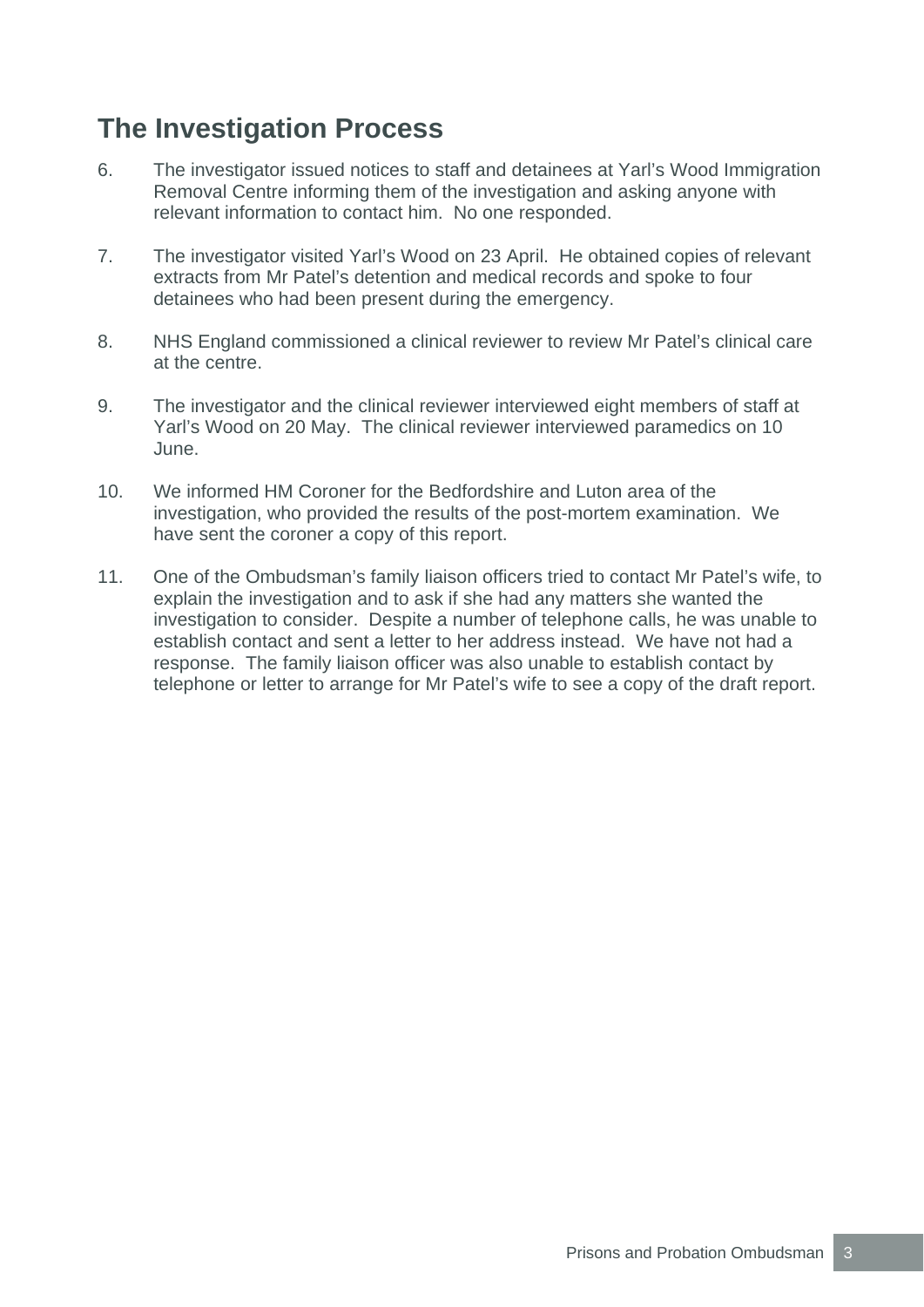# **The Investigation Process**

- 6. The investigator issued notices to staff and detainees at Yarl's Wood Immigration Removal Centre informing them of the investigation and asking anyone with relevant information to contact him. No one responded.
- 7. The investigator visited Yarl's Wood on 23 April. He obtained copies of relevant extracts from Mr Patel's detention and medical records and spoke to four detainees who had been present during the emergency.
- 8. NHS England commissioned a clinical reviewer to review Mr Patel's clinical care at the centre.
- 9. The investigator and the clinical reviewer interviewed eight members of staff at Yarl's Wood on 20 May. The clinical reviewer interviewed paramedics on 10 June.
- 10. We informed HM Coroner for the Bedfordshire and Luton area of the investigation, who provided the results of the post-mortem examination. We have sent the coroner a copy of this report.
- 11. One of the Ombudsman's family liaison officers tried to contact Mr Patel's wife, to explain the investigation and to ask if she had any matters she wanted the investigation to consider. Despite a number of telephone calls, he was unable to establish contact and sent a letter to her address instead. We have not had a response. The family liaison officer was also unable to establish contact by telephone or letter to arrange for Mr Patel's wife to see a copy of the draft report.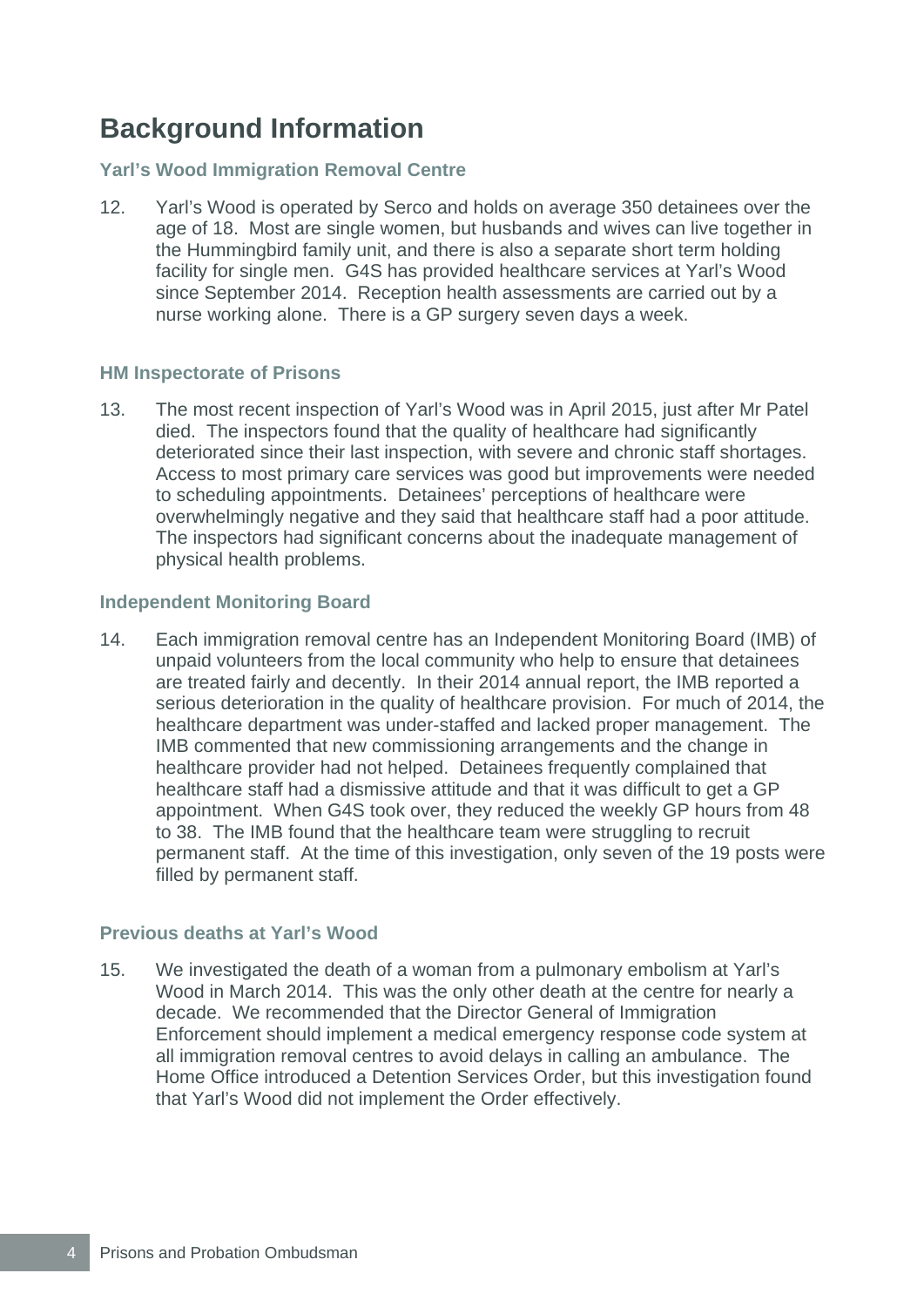## **Background Information**

#### **Yarl's Wood Immigration Removal Centre**

12. Yarl's Wood is operated by Serco and holds on average 350 detainees over the age of 18. Most are single women, but husbands and wives can live together in the Hummingbird family unit, and there is also a separate short term holding facility for single men. G4S has provided healthcare services at Yarl's Wood since September 2014. Reception health assessments are carried out by a nurse working alone. There is a GP surgery seven days a week.

#### **HM Inspectorate of Prisons**

13. The most recent inspection of Yarl's Wood was in April 2015, just after Mr Patel died. The inspectors found that the quality of healthcare had significantly deteriorated since their last inspection, with severe and chronic staff shortages. Access to most primary care services was good but improvements were needed to scheduling appointments. Detainees' perceptions of healthcare were overwhelmingly negative and they said that healthcare staff had a poor attitude. The inspectors had significant concerns about the inadequate management of physical health problems.

#### **Independent Monitoring Board**

14. Each immigration removal centre has an Independent Monitoring Board (IMB) of unpaid volunteers from the local community who help to ensure that detainees are treated fairly and decently. In their 2014 annual report, the IMB reported a serious deterioration in the quality of healthcare provision. For much of 2014, the healthcare department was under-staffed and lacked proper management. The IMB commented that new commissioning arrangements and the change in healthcare provider had not helped. Detainees frequently complained that healthcare staff had a dismissive attitude and that it was difficult to get a GP appointment. When G4S took over, they reduced the weekly GP hours from 48 to 38. The IMB found that the healthcare team were struggling to recruit permanent staff. At the time of this investigation, only seven of the 19 posts were filled by permanent staff.

#### **Previous deaths at Yarl's Wood**

15. We investigated the death of a woman from a pulmonary embolism at Yarl's Wood in March 2014. This was the only other death at the centre for nearly a decade. We recommended that the Director General of Immigration Enforcement should implement a medical emergency response code system at all immigration removal centres to avoid delays in calling an ambulance. The Home Office introduced a Detention Services Order, but this investigation found that Yarl's Wood did not implement the Order effectively.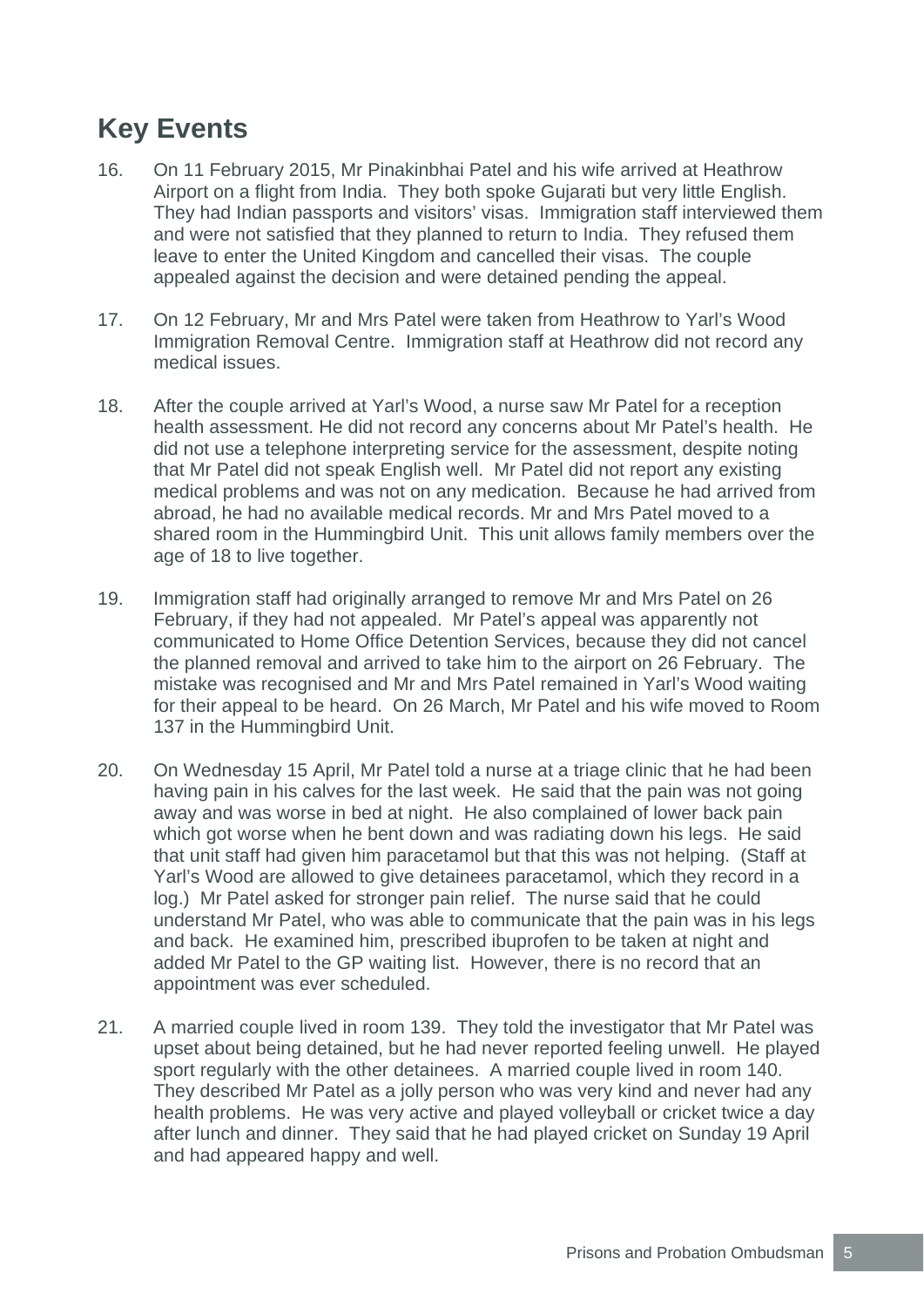## **Key Events**

- 16. On 11 February 2015, Mr Pinakinbhai Patel and his wife arrived at Heathrow Airport on a flight from India. They both spoke Gujarati but very little English. They had Indian passports and visitors' visas. Immigration staff interviewed them and were not satisfied that they planned to return to India. They refused them leave to enter the United Kingdom and cancelled their visas. The couple appealed against the decision and were detained pending the appeal.
- 17. On 12 February, Mr and Mrs Patel were taken from Heathrow to Yarl's Wood Immigration Removal Centre. Immigration staff at Heathrow did not record any medical issues.
- 18. After the couple arrived at Yarl's Wood, a nurse saw Mr Patel for a reception health assessment. He did not record any concerns about Mr Patel's health. He did not use a telephone interpreting service for the assessment, despite noting that Mr Patel did not speak English well. Mr Patel did not report any existing medical problems and was not on any medication. Because he had arrived from abroad, he had no available medical records. Mr and Mrs Patel moved to a shared room in the Hummingbird Unit. This unit allows family members over the age of 18 to live together.
- 19. Immigration staff had originally arranged to remove Mr and Mrs Patel on 26 February, if they had not appealed. Mr Patel's appeal was apparently not communicated to Home Office Detention Services, because they did not cancel the planned removal and arrived to take him to the airport on 26 February. The mistake was recognised and Mr and Mrs Patel remained in Yarl's Wood waiting for their appeal to be heard. On 26 March, Mr Patel and his wife moved to Room 137 in the Hummingbird Unit.
- 20. On Wednesday 15 April, Mr Patel told a nurse at a triage clinic that he had been having pain in his calves for the last week. He said that the pain was not going away and was worse in bed at night. He also complained of lower back pain which got worse when he bent down and was radiating down his legs. He said that unit staff had given him paracetamol but that this was not helping. (Staff at Yarl's Wood are allowed to give detainees paracetamol, which they record in a log.) Mr Patel asked for stronger pain relief. The nurse said that he could understand Mr Patel, who was able to communicate that the pain was in his legs and back. He examined him, prescribed ibuprofen to be taken at night and added Mr Patel to the GP waiting list. However, there is no record that an appointment was ever scheduled.
- 21. A married couple lived in room 139. They told the investigator that Mr Patel was upset about being detained, but he had never reported feeling unwell. He played sport regularly with the other detainees. A married couple lived in room 140. They described Mr Patel as a jolly person who was very kind and never had any health problems. He was very active and played volleyball or cricket twice a day after lunch and dinner. They said that he had played cricket on Sunday 19 April and had appeared happy and well.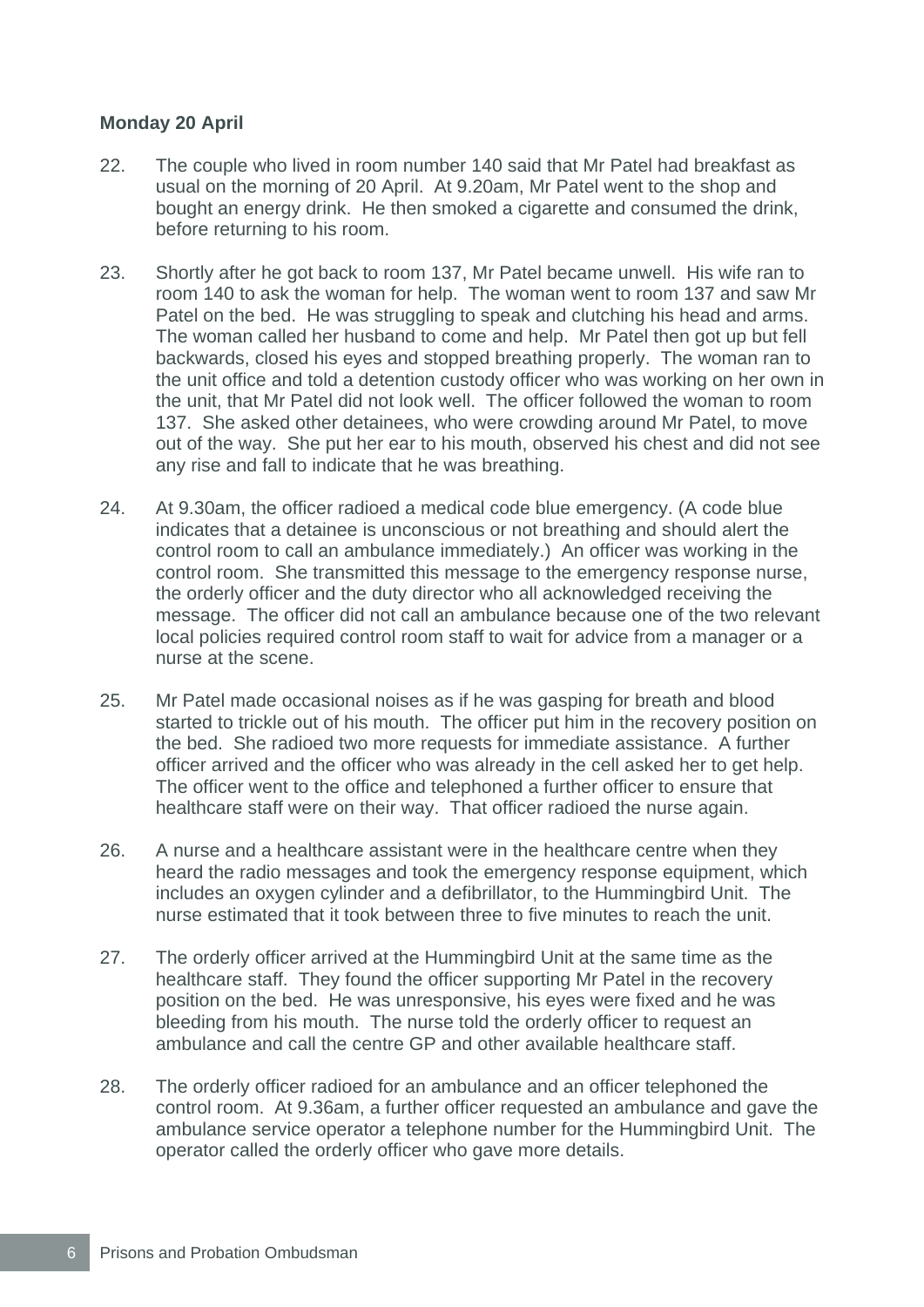#### **Monday 20 April**

- 22. The couple who lived in room number 140 said that Mr Patel had breakfast as usual on the morning of 20 April. At 9.20am, Mr Patel went to the shop and bought an energy drink. He then smoked a cigarette and consumed the drink, before returning to his room.
- 23. Shortly after he got back to room 137, Mr Patel became unwell. His wife ran to room 140 to ask the woman for help. The woman went to room 137 and saw Mr Patel on the bed. He was struggling to speak and clutching his head and arms. The woman called her husband to come and help. Mr Patel then got up but fell backwards, closed his eyes and stopped breathing properly. The woman ran to the unit office and told a detention custody officer who was working on her own in the unit, that Mr Patel did not look well. The officer followed the woman to room 137. She asked other detainees, who were crowding around Mr Patel, to move out of the way. She put her ear to his mouth, observed his chest and did not see any rise and fall to indicate that he was breathing.
- 24. At 9.30am, the officer radioed a medical code blue emergency. (A code blue indicates that a detainee is unconscious or not breathing and should alert the control room to call an ambulance immediately.) An officer was working in the control room. She transmitted this message to the emergency response nurse, the orderly officer and the duty director who all acknowledged receiving the message. The officer did not call an ambulance because one of the two relevant local policies required control room staff to wait for advice from a manager or a nurse at the scene.
- 25. Mr Patel made occasional noises as if he was gasping for breath and blood started to trickle out of his mouth. The officer put him in the recovery position on the bed. She radioed two more requests for immediate assistance. A further officer arrived and the officer who was already in the cell asked her to get help. The officer went to the office and telephoned a further officer to ensure that healthcare staff were on their way. That officer radioed the nurse again.
- 26. A nurse and a healthcare assistant were in the healthcare centre when they heard the radio messages and took the emergency response equipment, which includes an oxygen cylinder and a defibrillator, to the Hummingbird Unit. The nurse estimated that it took between three to five minutes to reach the unit.
- 27. The orderly officer arrived at the Hummingbird Unit at the same time as the healthcare staff. They found the officer supporting Mr Patel in the recovery position on the bed. He was unresponsive, his eyes were fixed and he was bleeding from his mouth. The nurse told the orderly officer to request an ambulance and call the centre GP and other available healthcare staff.
- 28. The orderly officer radioed for an ambulance and an officer telephoned the control room. At 9.36am, a further officer requested an ambulance and gave the ambulance service operator a telephone number for the Hummingbird Unit. The operator called the orderly officer who gave more details.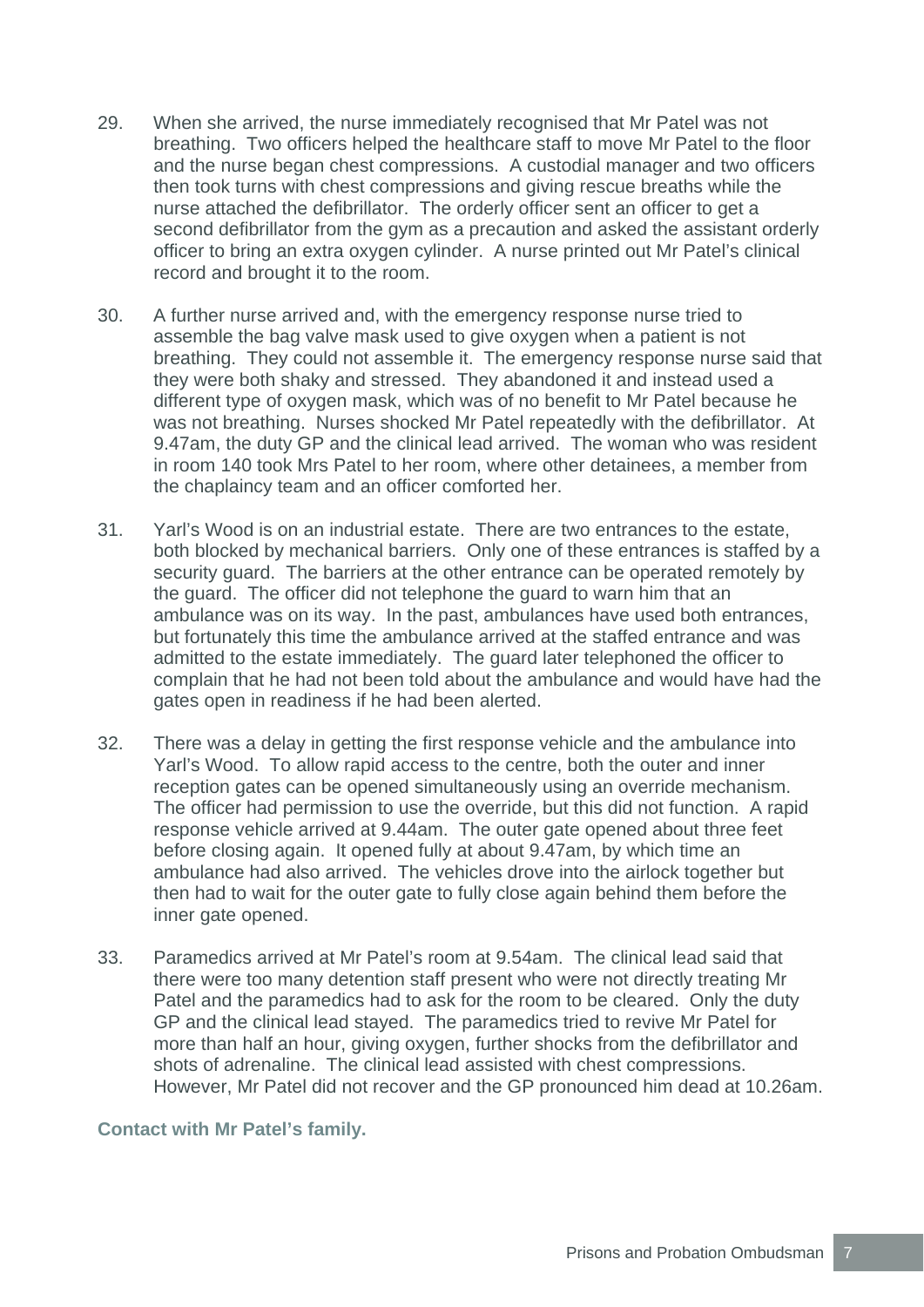- 29. When she arrived, the nurse immediately recognised that Mr Patel was not breathing. Two officers helped the healthcare staff to move Mr Patel to the floor and the nurse began chest compressions. A custodial manager and two officers then took turns with chest compressions and giving rescue breaths while the nurse attached the defibrillator. The orderly officer sent an officer to get a second defibrillator from the gym as a precaution and asked the assistant orderly officer to bring an extra oxygen cylinder. A nurse printed out Mr Patel's clinical record and brought it to the room.
- 30. A further nurse arrived and, with the emergency response nurse tried to assemble the bag valve mask used to give oxygen when a patient is not breathing. They could not assemble it. The emergency response nurse said that they were both shaky and stressed. They abandoned it and instead used a different type of oxygen mask, which was of no benefit to Mr Patel because he was not breathing. Nurses shocked Mr Patel repeatedly with the defibrillator. At 9.47am, the duty GP and the clinical lead arrived. The woman who was resident in room 140 took Mrs Patel to her room, where other detainees, a member from the chaplaincy team and an officer comforted her.
- 31. Yarl's Wood is on an industrial estate. There are two entrances to the estate, both blocked by mechanical barriers. Only one of these entrances is staffed by a security guard. The barriers at the other entrance can be operated remotely by the guard. The officer did not telephone the guard to warn him that an ambulance was on its way. In the past, ambulances have used both entrances, but fortunately this time the ambulance arrived at the staffed entrance and was admitted to the estate immediately. The guard later telephoned the officer to complain that he had not been told about the ambulance and would have had the gates open in readiness if he had been alerted.
- 32. There was a delay in getting the first response vehicle and the ambulance into Yarl's Wood. To allow rapid access to the centre, both the outer and inner reception gates can be opened simultaneously using an override mechanism. The officer had permission to use the override, but this did not function. A rapid response vehicle arrived at 9.44am. The outer gate opened about three feet before closing again. It opened fully at about 9.47am, by which time an ambulance had also arrived. The vehicles drove into the airlock together but then had to wait for the outer gate to fully close again behind them before the inner gate opened.
- 33. Paramedics arrived at Mr Patel's room at 9.54am. The clinical lead said that there were too many detention staff present who were not directly treating Mr Patel and the paramedics had to ask for the room to be cleared. Only the duty GP and the clinical lead stayed. The paramedics tried to revive Mr Patel for more than half an hour, giving oxygen, further shocks from the defibrillator and shots of adrenaline. The clinical lead assisted with chest compressions. However, Mr Patel did not recover and the GP pronounced him dead at 10.26am.

#### **Contact with Mr Patel's family.**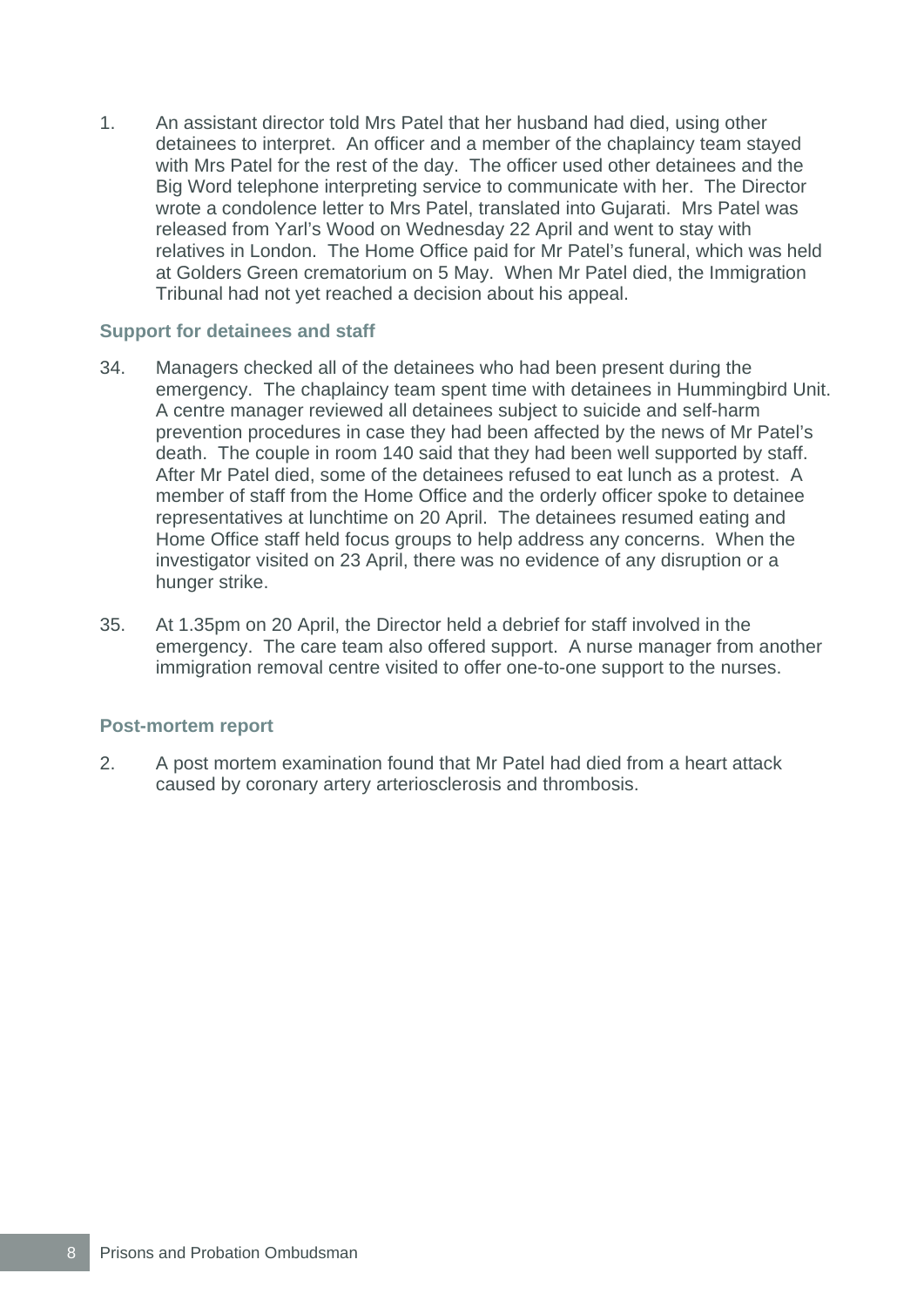1. An assistant director told Mrs Patel that her husband had died, using other detainees to interpret. An officer and a member of the chaplaincy team stayed with Mrs Patel for the rest of the day. The officer used other detainees and the Big Word telephone interpreting service to communicate with her. The Director wrote a condolence letter to Mrs Patel, translated into Gujarati. Mrs Patel was released from Yarl's Wood on Wednesday 22 April and went to stay with relatives in London. The Home Office paid for Mr Patel's funeral, which was held at Golders Green crematorium on 5 May. When Mr Patel died, the Immigration Tribunal had not yet reached a decision about his appeal.

#### **Support for detainees and staff**

- 34. Managers checked all of the detainees who had been present during the emergency. The chaplaincy team spent time with detainees in Hummingbird Unit. A centre manager reviewed all detainees subject to suicide and self-harm prevention procedures in case they had been affected by the news of Mr Patel's death. The couple in room 140 said that they had been well supported by staff. After Mr Patel died, some of the detainees refused to eat lunch as a protest. A member of staff from the Home Office and the orderly officer spoke to detainee representatives at lunchtime on 20 April. The detainees resumed eating and Home Office staff held focus groups to help address any concerns. When the investigator visited on 23 April, there was no evidence of any disruption or a hunger strike.
- 35. At 1.35pm on 20 April, the Director held a debrief for staff involved in the emergency. The care team also offered support. A nurse manager from another immigration removal centre visited to offer one-to-one support to the nurses.

#### **Post-mortem report**

2. A post mortem examination found that Mr Patel had died from a heart attack caused by coronary artery arteriosclerosis and thrombosis.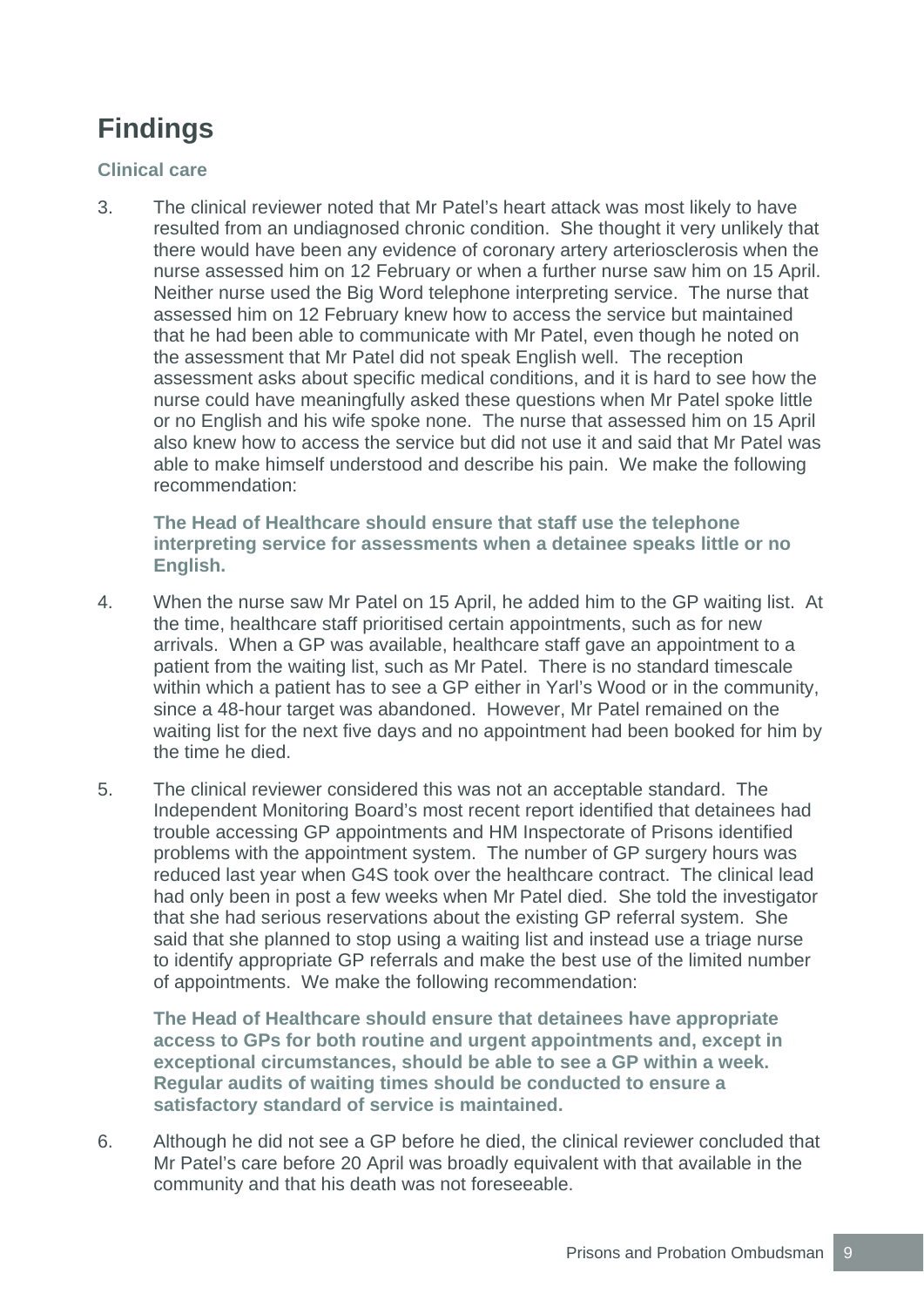# **Findings**

#### **Clinical care**

3. The clinical reviewer noted that Mr Patel's heart attack was most likely to have resulted from an undiagnosed chronic condition. She thought it very unlikely that there would have been any evidence of coronary artery arteriosclerosis when the nurse assessed him on 12 February or when a further nurse saw him on 15 April. Neither nurse used the Big Word telephone interpreting service. The nurse that assessed him on 12 February knew how to access the service but maintained that he had been able to communicate with Mr Patel, even though he noted on the assessment that Mr Patel did not speak English well. The reception assessment asks about specific medical conditions, and it is hard to see how the nurse could have meaningfully asked these questions when Mr Patel spoke little or no English and his wife spoke none. The nurse that assessed him on 15 April also knew how to access the service but did not use it and said that Mr Patel was able to make himself understood and describe his pain. We make the following recommendation:

**The Head of Healthcare should ensure that staff use the telephone interpreting service for assessments when a detainee speaks little or no English.** 

- 4. When the nurse saw Mr Patel on 15 April, he added him to the GP waiting list. At the time, healthcare staff prioritised certain appointments, such as for new arrivals. When a GP was available, healthcare staff gave an appointment to a patient from the waiting list, such as Mr Patel. There is no standard timescale within which a patient has to see a GP either in Yarl's Wood or in the community, since a 48-hour target was abandoned. However, Mr Patel remained on the waiting list for the next five days and no appointment had been booked for him by the time he died.
- 5. The clinical reviewer considered this was not an acceptable standard. The Independent Monitoring Board's most recent report identified that detainees had trouble accessing GP appointments and HM Inspectorate of Prisons identified problems with the appointment system. The number of GP surgery hours was reduced last year when G4S took over the healthcare contract. The clinical lead had only been in post a few weeks when Mr Patel died. She told the investigator that she had serious reservations about the existing GP referral system. She said that she planned to stop using a waiting list and instead use a triage nurse to identify appropriate GP referrals and make the best use of the limited number of appointments. We make the following recommendation:

**The Head of Healthcare should ensure that detainees have appropriate access to GPs for both routine and urgent appointments and, except in exceptional circumstances, should be able to see a GP within a week. Regular audits of waiting times should be conducted to ensure a satisfactory standard of service is maintained.** 

6. Although he did not see a GP before he died, the clinical reviewer concluded that Mr Patel's care before 20 April was broadly equivalent with that available in the community and that his death was not foreseeable.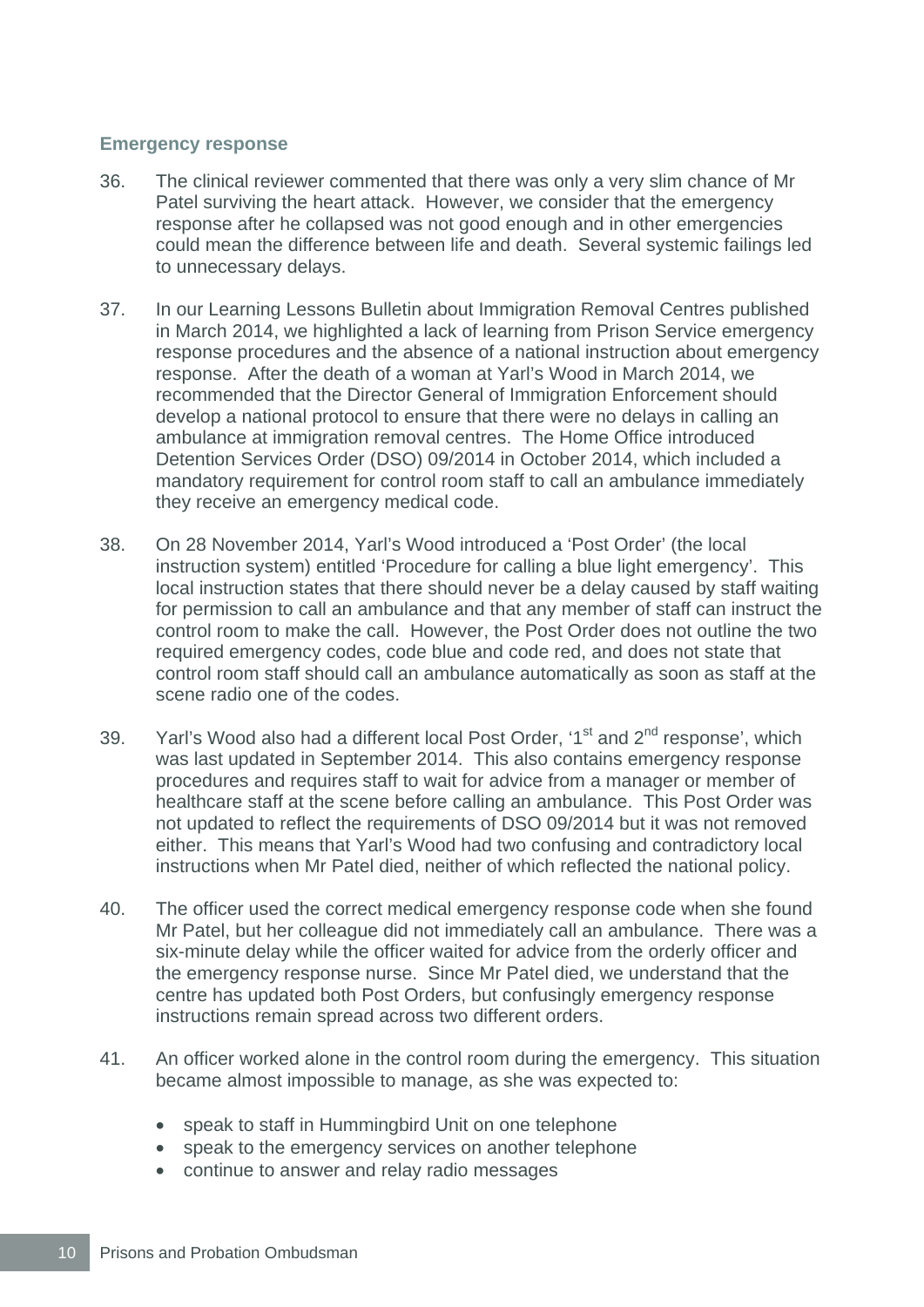#### **Emergency response**

- 36. The clinical reviewer commented that there was only a very slim chance of Mr Patel surviving the heart attack. However, we consider that the emergency response after he collapsed was not good enough and in other emergencies could mean the difference between life and death. Several systemic failings led to unnecessary delays.
- 37. In our Learning Lessons Bulletin about Immigration Removal Centres published in March 2014, we highlighted a lack of learning from Prison Service emergency response procedures and the absence of a national instruction about emergency response. After the death of a woman at Yarl's Wood in March 2014, we recommended that the Director General of Immigration Enforcement should develop a national protocol to ensure that there were no delays in calling an ambulance at immigration removal centres. The Home Office introduced Detention Services Order (DSO) 09/2014 in October 2014, which included a mandatory requirement for control room staff to call an ambulance immediately they receive an emergency medical code.
- 38. On 28 November 2014, Yarl's Wood introduced a 'Post Order' (the local instruction system) entitled 'Procedure for calling a blue light emergency'. This local instruction states that there should never be a delay caused by staff waiting for permission to call an ambulance and that any member of staff can instruct the control room to make the call. However, the Post Order does not outline the two required emergency codes, code blue and code red, and does not state that control room staff should call an ambulance automatically as soon as staff at the scene radio one of the codes.
- 39. Yarl's Wood also had a different local Post Order, ' $1<sup>st</sup>$  and  $2<sup>nd</sup>$  response', which was last updated in September 2014. This also contains emergency response procedures and requires staff to wait for advice from a manager or member of healthcare staff at the scene before calling an ambulance. This Post Order was not updated to reflect the requirements of DSO 09/2014 but it was not removed either. This means that Yarl's Wood had two confusing and contradictory local instructions when Mr Patel died, neither of which reflected the national policy.
- 40. The officer used the correct medical emergency response code when she found Mr Patel, but her colleague did not immediately call an ambulance. There was a six-minute delay while the officer waited for advice from the orderly officer and the emergency response nurse. Since Mr Patel died, we understand that the centre has updated both Post Orders, but confusingly emergency response instructions remain spread across two different orders.
- 41. An officer worked alone in the control room during the emergency. This situation became almost impossible to manage, as she was expected to:
	- speak to staff in Hummingbird Unit on one telephone
	- speak to the emergency services on another telephone
	- continue to answer and relay radio messages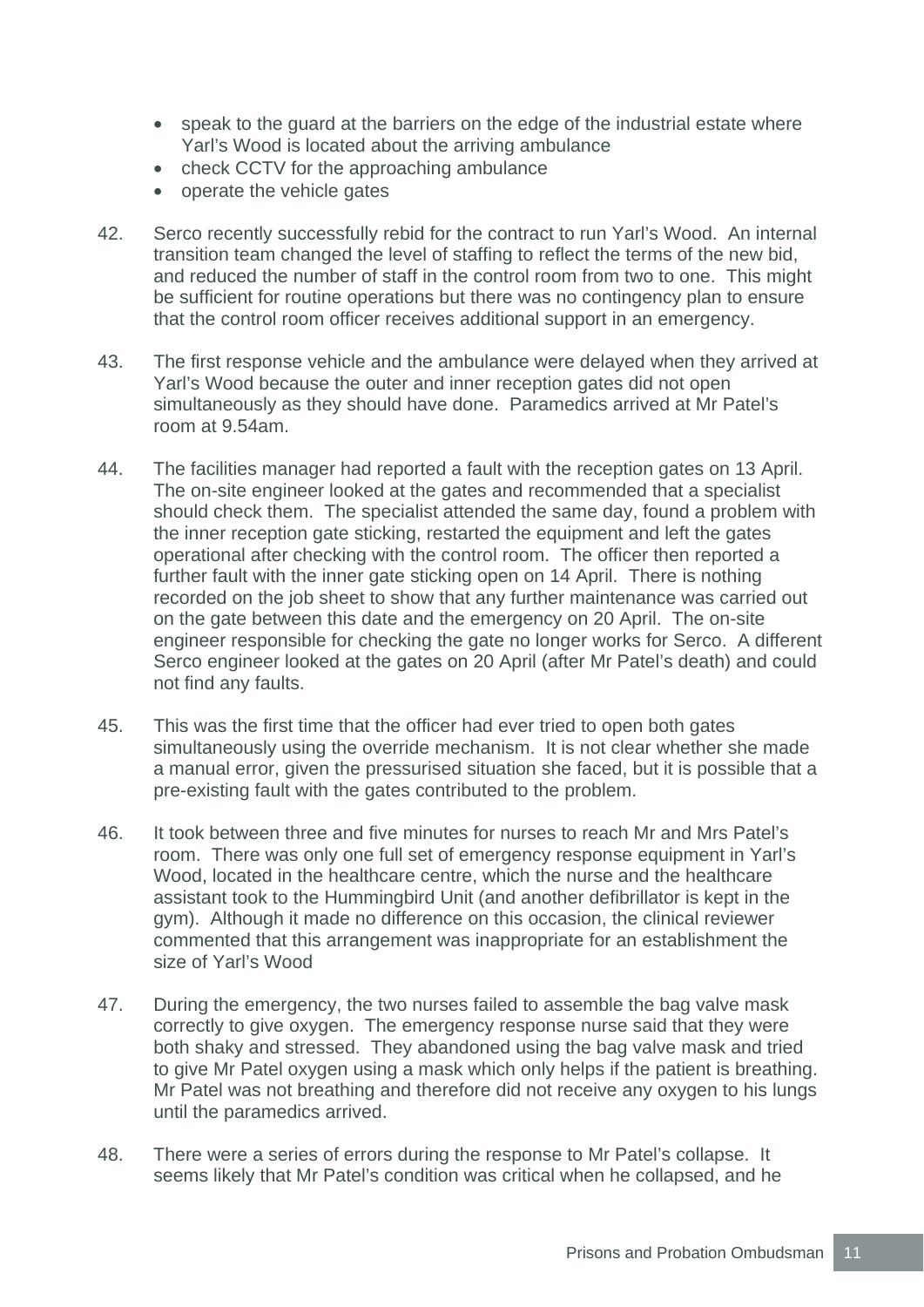- speak to the guard at the barriers on the edge of the industrial estate where Yarl's Wood is located about the arriving ambulance
- check CCTV for the approaching ambulance
- operate the vehicle gates
- 42. Serco recently successfully rebid for the contract to run Yarl's Wood. An internal transition team changed the level of staffing to reflect the terms of the new bid, and reduced the number of staff in the control room from two to one. This might be sufficient for routine operations but there was no contingency plan to ensure that the control room officer receives additional support in an emergency.
- 43. The first response vehicle and the ambulance were delayed when they arrived at Yarl's Wood because the outer and inner reception gates did not open simultaneously as they should have done. Paramedics arrived at Mr Patel's room at 9.54am.
- 44. The facilities manager had reported a fault with the reception gates on 13 April. The on-site engineer looked at the gates and recommended that a specialist should check them. The specialist attended the same day, found a problem with the inner reception gate sticking, restarted the equipment and left the gates operational after checking with the control room. The officer then reported a further fault with the inner gate sticking open on 14 April. There is nothing recorded on the job sheet to show that any further maintenance was carried out on the gate between this date and the emergency on 20 April. The on-site engineer responsible for checking the gate no longer works for Serco. A different Serco engineer looked at the gates on 20 April (after Mr Patel's death) and could not find any faults.
- 45. This was the first time that the officer had ever tried to open both gates simultaneously using the override mechanism. It is not clear whether she made a manual error, given the pressurised situation she faced, but it is possible that a pre-existing fault with the gates contributed to the problem.
- 46. It took between three and five minutes for nurses to reach Mr and Mrs Patel's room. There was only one full set of emergency response equipment in Yarl's Wood, located in the healthcare centre, which the nurse and the healthcare assistant took to the Hummingbird Unit (and another defibrillator is kept in the gym). Although it made no difference on this occasion, the clinical reviewer commented that this arrangement was inappropriate for an establishment the size of Yarl's Wood
- 47. During the emergency, the two nurses failed to assemble the bag valve mask correctly to give oxygen. The emergency response nurse said that they were both shaky and stressed. They abandoned using the bag valve mask and tried to give Mr Patel oxygen using a mask which only helps if the patient is breathing. Mr Patel was not breathing and therefore did not receive any oxygen to his lungs until the paramedics arrived.
- 48. There were a series of errors during the response to Mr Patel's collapse. It seems likely that Mr Patel's condition was critical when he collapsed, and he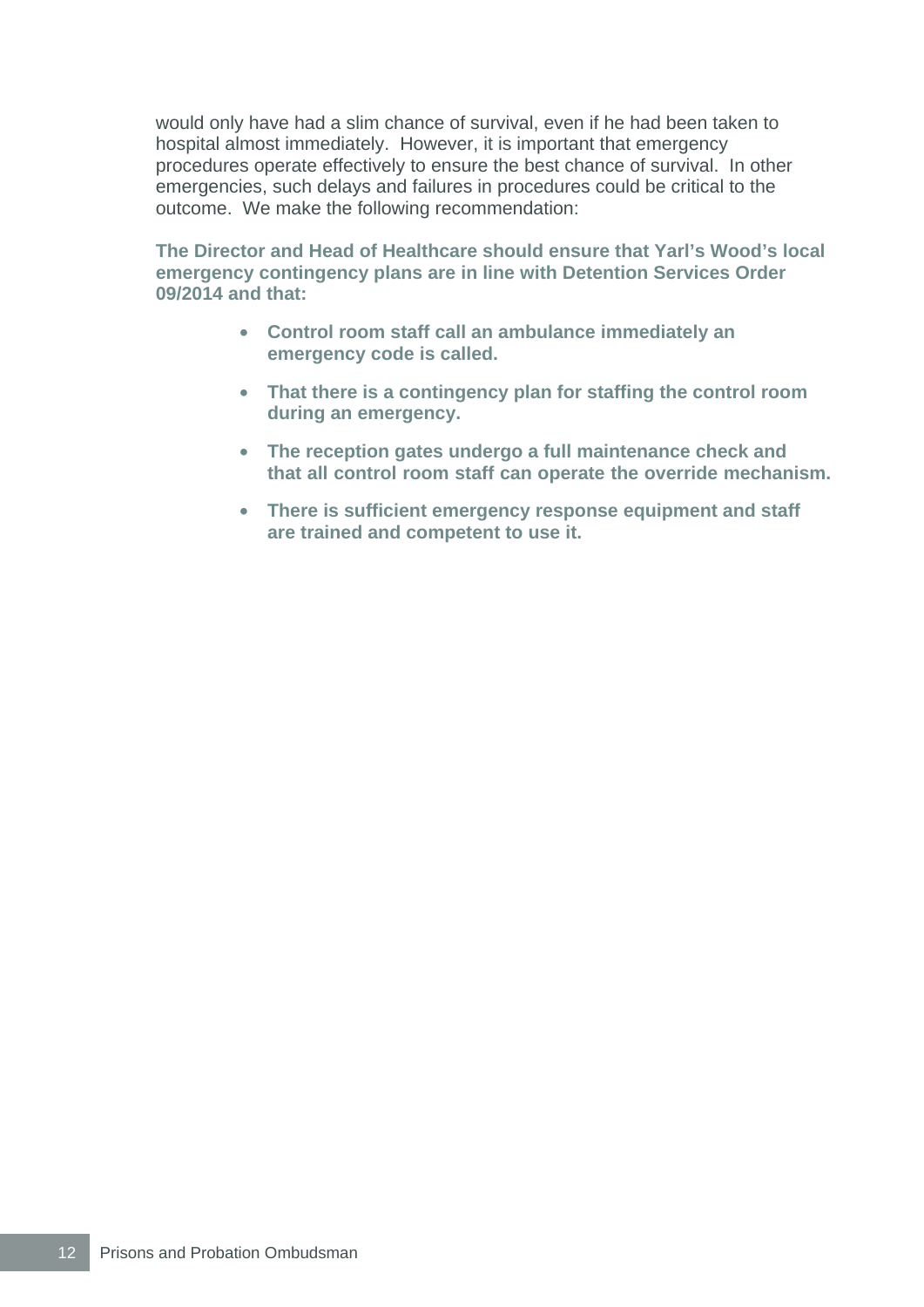would only have had a slim chance of survival, even if he had been taken to hospital almost immediately. However, it is important that emergency procedures operate effectively to ensure the best chance of survival. In other emergencies, such delays and failures in procedures could be critical to the outcome. We make the following recommendation:

**The Director and Head of Healthcare should ensure that Yarl's Wood's local emergency contingency plans are in line with Detention Services Order 09/2014 and that:** 

- **Control room staff call an ambulance immediately an emergency code is called.**
- **That there is a contingency plan for staffing the control room during an emergency.**
- **The reception gates undergo a full maintenance check and that all control room staff can operate the override mechanism.**
- **There is sufficient emergency response equipment and staff are trained and competent to use it.**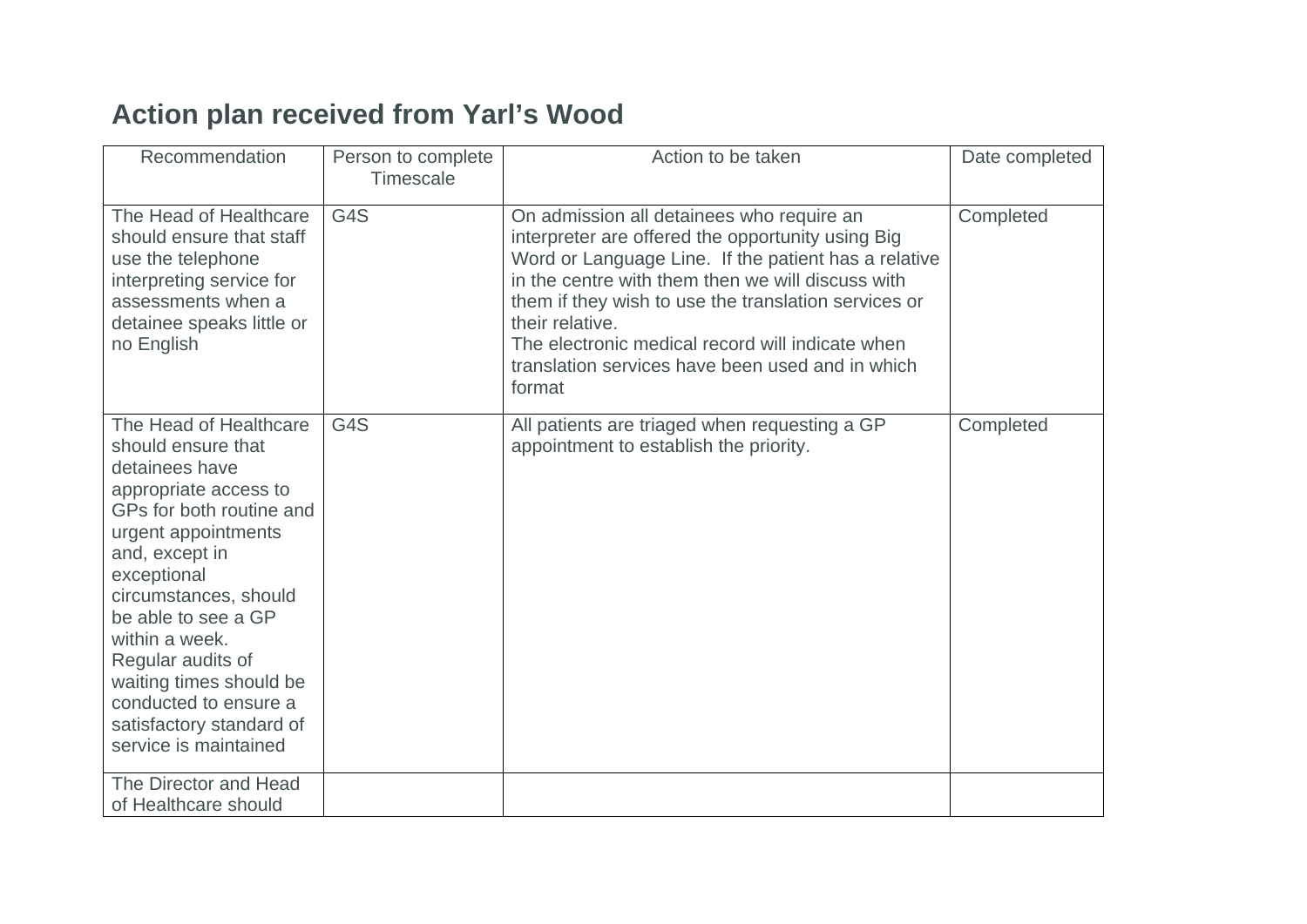# **Action plan received from Yarl's Wood**

| Recommendation                                                                                                                                                                                                                                                                                                                                                              | Person to complete<br>Timescale | Action to be taken                                                                                                                                                                                                                                                                                                                                                                                       | Date completed |
|-----------------------------------------------------------------------------------------------------------------------------------------------------------------------------------------------------------------------------------------------------------------------------------------------------------------------------------------------------------------------------|---------------------------------|----------------------------------------------------------------------------------------------------------------------------------------------------------------------------------------------------------------------------------------------------------------------------------------------------------------------------------------------------------------------------------------------------------|----------------|
| The Head of Healthcare<br>should ensure that staff<br>use the telephone<br>interpreting service for<br>assessments when a<br>detainee speaks little or<br>no English                                                                                                                                                                                                        | G4S                             | On admission all detainees who require an<br>interpreter are offered the opportunity using Big<br>Word or Language Line. If the patient has a relative<br>in the centre with them then we will discuss with<br>them if they wish to use the translation services or<br>their relative.<br>The electronic medical record will indicate when<br>translation services have been used and in which<br>format | Completed      |
| The Head of Healthcare<br>should ensure that<br>detainees have<br>appropriate access to<br>GPs for both routine and<br>urgent appointments<br>and, except in<br>exceptional<br>circumstances, should<br>be able to see a GP<br>within a week.<br>Regular audits of<br>waiting times should be<br>conducted to ensure a<br>satisfactory standard of<br>service is maintained | G4S                             | All patients are triaged when requesting a GP<br>appointment to establish the priority.                                                                                                                                                                                                                                                                                                                  | Completed      |
| The Director and Head<br>of Healthcare should                                                                                                                                                                                                                                                                                                                               |                                 |                                                                                                                                                                                                                                                                                                                                                                                                          |                |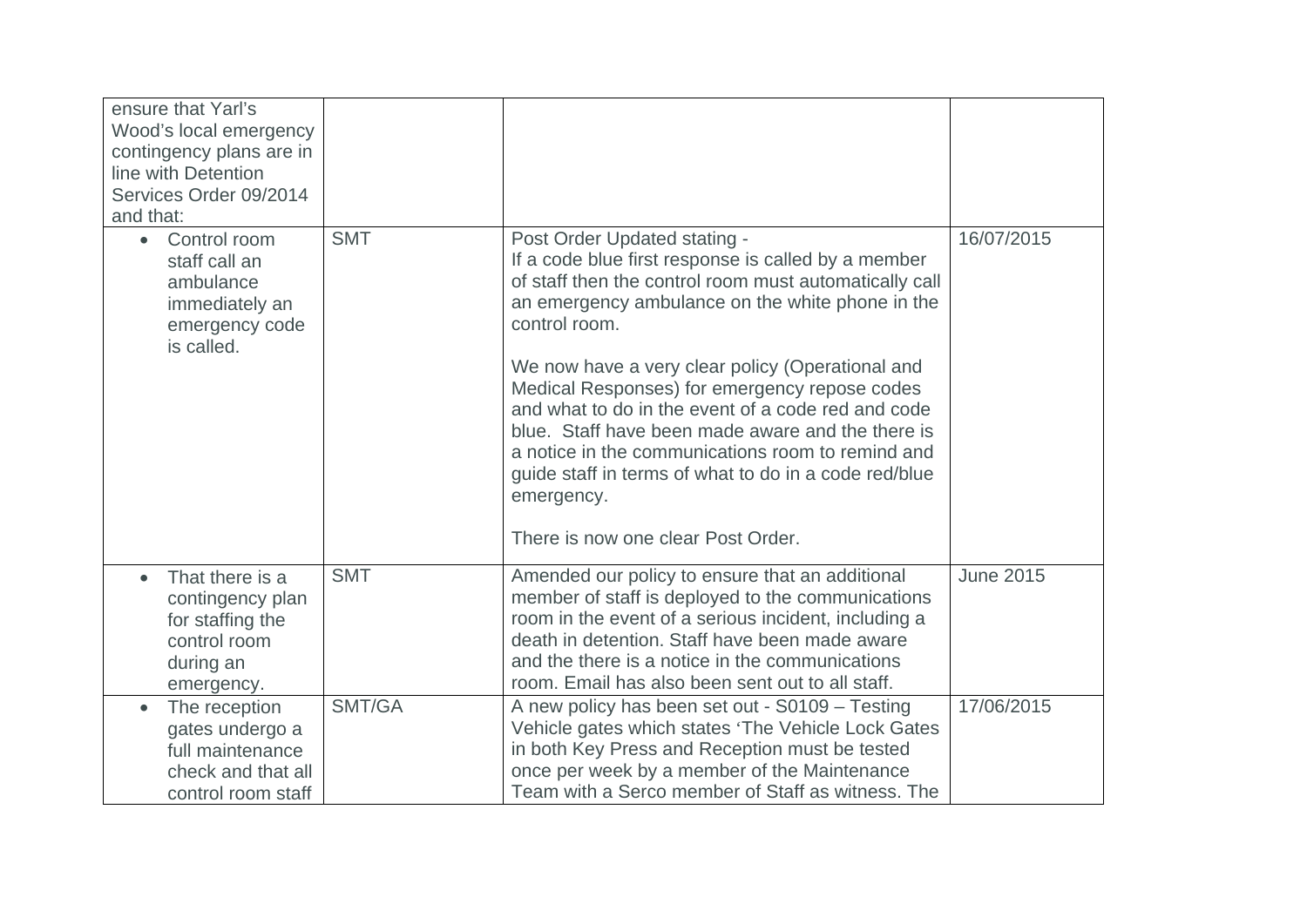| ensure that Yarl's<br>Wood's local emergency<br>contingency plans are in<br>line with Detention<br>Services Order 09/2014<br>and that: |            |                                                                                                                                                                                                                                                                                                                                                                                                                                                                                                                                                                                                      |                  |
|----------------------------------------------------------------------------------------------------------------------------------------|------------|------------------------------------------------------------------------------------------------------------------------------------------------------------------------------------------------------------------------------------------------------------------------------------------------------------------------------------------------------------------------------------------------------------------------------------------------------------------------------------------------------------------------------------------------------------------------------------------------------|------------------|
| Control room<br>$\bullet$<br>staff call an<br>ambulance<br>immediately an<br>emergency code<br>is called.                              | <b>SMT</b> | Post Order Updated stating -<br>If a code blue first response is called by a member<br>of staff then the control room must automatically call<br>an emergency ambulance on the white phone in the<br>control room.<br>We now have a very clear policy (Operational and<br>Medical Responses) for emergency repose codes<br>and what to do in the event of a code red and code<br>blue. Staff have been made aware and the there is<br>a notice in the communications room to remind and<br>guide staff in terms of what to do in a code red/blue<br>emergency.<br>There is now one clear Post Order. | 16/07/2015       |
| That there is a<br>contingency plan<br>for staffing the<br>control room<br>during an<br>emergency.                                     | <b>SMT</b> | Amended our policy to ensure that an additional<br>member of staff is deployed to the communications<br>room in the event of a serious incident, including a<br>death in detention. Staff have been made aware<br>and the there is a notice in the communications<br>room. Email has also been sent out to all staff.                                                                                                                                                                                                                                                                                | <b>June 2015</b> |
| The reception<br>$\bullet$<br>gates undergo a<br>full maintenance<br>check and that all<br>control room staff                          | SMT/GA     | A new policy has been set out - S0109 - Testing<br>Vehicle gates which states 'The Vehicle Lock Gates<br>in both Key Press and Reception must be tested<br>once per week by a member of the Maintenance<br>Team with a Serco member of Staff as witness. The                                                                                                                                                                                                                                                                                                                                         | 17/06/2015       |